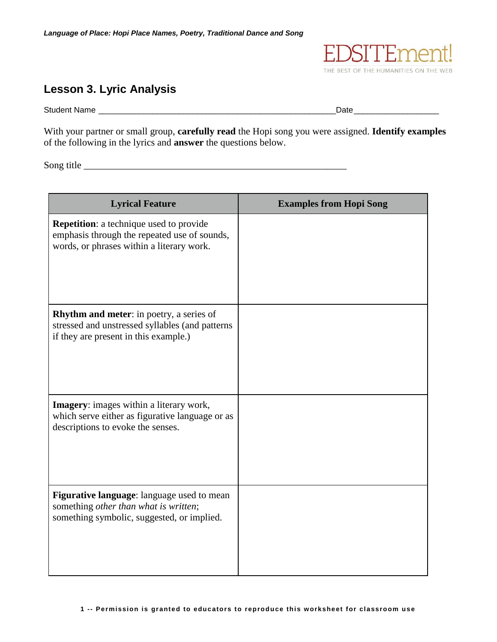

## **Lesson 3. Lyric Analysis**

Student Name \_\_\_\_\_\_\_\_\_\_\_\_\_\_\_\_\_\_\_\_\_\_\_\_\_\_\_\_\_\_\_\_\_\_\_\_\_\_\_\_\_\_\_\_\_\_\_\_\_\_\_\_\_Date\_\_\_\_\_\_\_\_\_\_\_\_\_\_\_\_\_\_\_

With your partner or small group, **carefully read** the Hopi song you were assigned. **Identify examples** of the following in the lyrics and **answer** the questions below.

Song title

| <b>Lyrical Feature</b>                                                                                                                      | <b>Examples from Hopi Song</b> |
|---------------------------------------------------------------------------------------------------------------------------------------------|--------------------------------|
| <b>Repetition:</b> a technique used to provide<br>emphasis through the repeated use of sounds,<br>words, or phrases within a literary work. |                                |
| Rhythm and meter: in poetry, a series of<br>stressed and unstressed syllables (and patterns<br>if they are present in this example.)        |                                |
| <b>Imagery:</b> images within a literary work,<br>which serve either as figurative language or as<br>descriptions to evoke the senses.      |                                |
| Figurative language: language used to mean<br>something other than what is written;<br>something symbolic, suggested, or implied.           |                                |